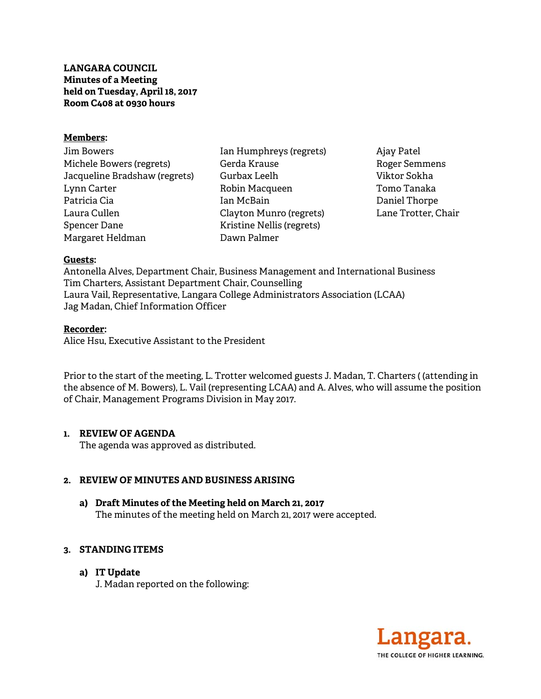**LANGARA COUNCIL Minutes of a Meeting held on Tuesday, April 18, 2017 Room C408 at 0930 hours** 

## **Members:**

Jim Bowers Michele Bowers (regrets) Jacqueline Bradshaw (regrets) Lynn Carter Patricia Cia Laura Cullen Spencer Dane Margaret Heldman

Ian Humphreys (regrets) Gerda Krause Gurbax Leelh Robin Macqueen Ian McBain Clayton Munro (regrets) Kristine Nellis (regrets) Dawn Palmer

Ajay Patel Roger Semmens Viktor Sokha Tomo Tanaka Daniel Thorpe Lane Trotter, Chair

#### **Guests:**

Antonella Alves, Department Chair, Business Management and International Business Tim Charters, Assistant Department Chair, Counselling Laura Vail, Representative, Langara College Administrators Association (LCAA) Jag Madan, Chief Information Officer

#### **Recorder:**

Alice Hsu, Executive Assistant to the President

Prior to the start of the meeting, L. Trotter welcomed guests J. Madan, T. Charters ( (attending in the absence of M. Bowers), L. Vail (representing LCAA) and A. Alves, who will assume the position of Chair, Management Programs Division in May 2017.

## **1. REVIEW OF AGENDA**

The agenda was approved as distributed.

## **2. REVIEW OF MINUTES AND BUSINESS ARISING**

**a) Draft Minutes of the Meeting held on March 21, 2017**  The minutes of the meeting held on March 21, 2017 were accepted.

## **3. STANDING ITEMS**

**a) IT Update** 

J. Madan reported on the following:

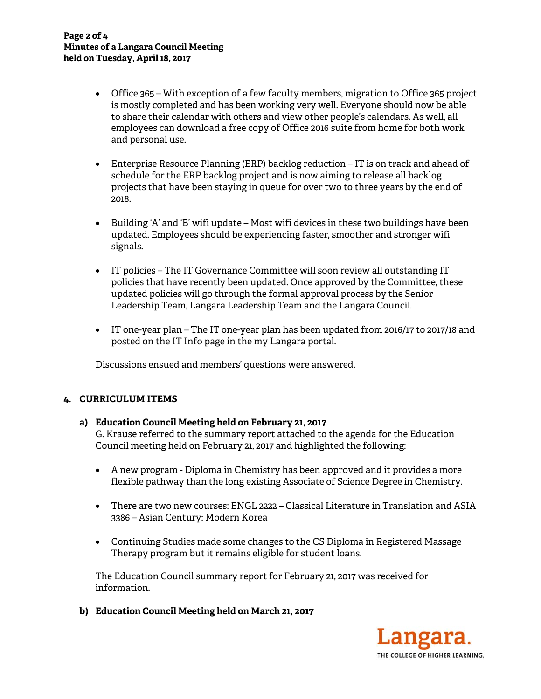- Office 365 With exception of a few faculty members, migration to Office 365 project is mostly completed and has been working very well. Everyone should now be able to share their calendar with others and view other people's calendars. As well, all employees can download a free copy of Office 2016 suite from home for both work and personal use.
- Enterprise Resource Planning (ERP) backlog reduction IT is on track and ahead of schedule for the ERP backlog project and is now aiming to release all backlog projects that have been staying in queue for over two to three years by the end of 2018.
- Building 'A' and 'B' wifi update Most wifi devices in these two buildings have been updated. Employees should be experiencing faster, smoother and stronger wifi signals.
- IT policies The IT Governance Committee will soon review all outstanding IT policies that have recently been updated. Once approved by the Committee, these updated policies will go through the formal approval process by the Senior Leadership Team, Langara Leadership Team and the Langara Council.
- IT one-year plan The IT one-year plan has been updated from 2016/17 to 2017/18 and posted on the IT Info page in the my Langara portal.

Discussions ensued and members' questions were answered.

## **4. CURRICULUM ITEMS**

## **a) Education Council Meeting held on February 21, 2017**

G. Krause referred to the summary report attached to the agenda for the Education Council meeting held on February 21, 2017 and highlighted the following:

- A new program Diploma in Chemistry has been approved and it provides a more flexible pathway than the long existing Associate of Science Degree in Chemistry.
- There are two new courses: ENGL 2222 Classical Literature in Translation and ASIA 3386 – Asian Century: Modern Korea
- Continuing Studies made some changes to the CS Diploma in Registered Massage Therapy program but it remains eligible for student loans.

The Education Council summary report for February 21, 2017 was received for information.

**b) Education Council Meeting held on March 21, 2017** 

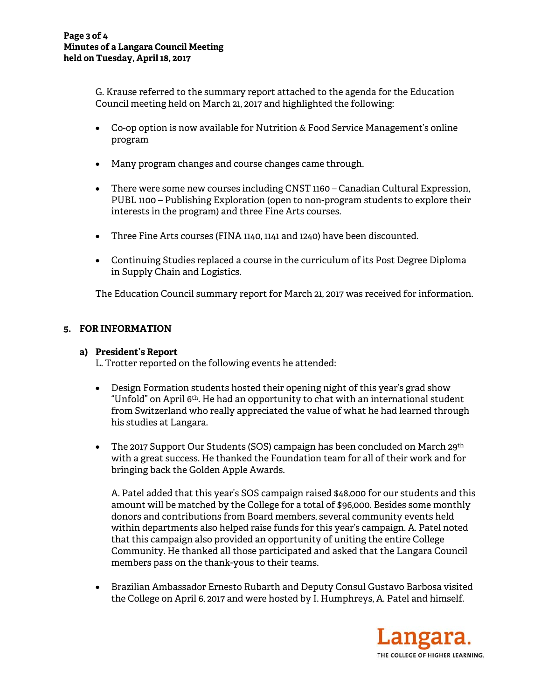G. Krause referred to the summary report attached to the agenda for the Education Council meeting held on March 21, 2017 and highlighted the following:

- Co-op option is now available for Nutrition & Food Service Management's online program
- Many program changes and course changes came through.
- There were some new courses including CNST 1160 Canadian Cultural Expression, PUBL 1100 – Publishing Exploration (open to non-program students to explore their interests in the program) and three Fine Arts courses.
- Three Fine Arts courses (FINA 1140, 1141 and 1240) have been discounted.
- Continuing Studies replaced a course in the curriculum of its Post Degree Diploma in Supply Chain and Logistics.

The Education Council summary report for March 21, 2017 was received for information.

## **5. FOR INFORMATION**

## **a) President's Report**

L. Trotter reported on the following events he attended:

- Design Formation students hosted their opening night of this year's grad show "Unfold" on April 6th. He had an opportunity to chat with an international student from Switzerland who really appreciated the value of what he had learned through his studies at Langara.
- The 2017 Support Our Students (SOS) campaign has been concluded on March 29<sup>th</sup> with a great success. He thanked the Foundation team for all of their work and for bringing back the Golden Apple Awards.

A. Patel added that this year's SOS campaign raised \$48,000 for our students and this amount will be matched by the College for a total of \$96,000. Besides some monthly donors and contributions from Board members, several community events held within departments also helped raise funds for this year's campaign. A. Patel noted that this campaign also provided an opportunity of uniting the entire College Community. He thanked all those participated and asked that the Langara Council members pass on the thank-yous to their teams.

 Brazilian Ambassador Ernesto Rubarth and Deputy Consul Gustavo Barbosa visited the College on April 6, 2017 and were hosted by I. Humphreys, A. Patel and himself.